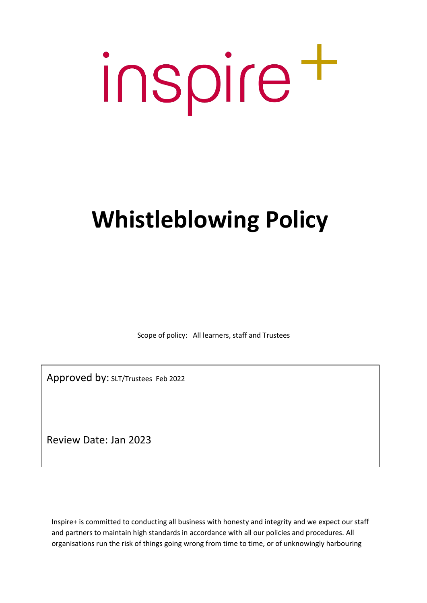# inspire<sup>+</sup>

# **Whistleblowing Policy**

Scope of policy: All learners, staff and Trustees

Approved by: SLT/Trustees Feb 2022

Review Date: Jan 2023

Inspire+ is committed to conducting all business with honesty and integrity and we expect our staff and partners to maintain high standards in accordance with all our policies and procedures. All organisations run the risk of things going wrong from time to time, or of unknowingly harbouring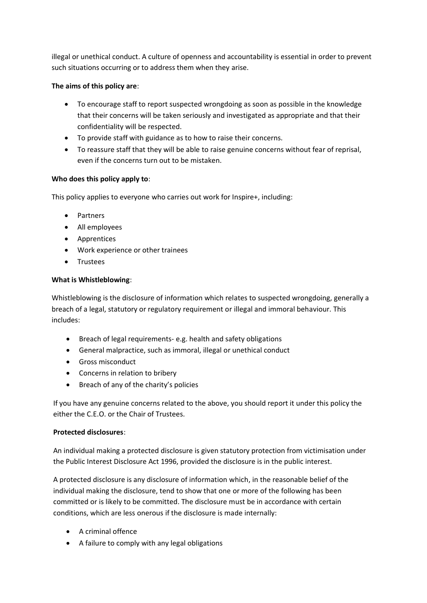illegal or unethical conduct. A culture of openness and accountability is essential in order to prevent such situations occurring or to address them when they arise.

# **The aims of this policy are**:

- To encourage staff to report suspected wrongdoing as soon as possible in the knowledge that their concerns will be taken seriously and investigated as appropriate and that their confidentiality will be respected.
- To provide staff with guidance as to how to raise their concerns.
- To reassure staff that they will be able to raise genuine concerns without fear of reprisal, even if the concerns turn out to be mistaken.

### **Who does this policy apply to**:

This policy applies to everyone who carries out work for Inspire+, including:

- Partners
- All employees
- Apprentices
- Work experience or other trainees
- Trustees

### **What is Whistleblowing**:

Whistleblowing is the disclosure of information which relates to suspected wrongdoing, generally a breach of a legal, statutory or regulatory requirement or illegal and immoral behaviour. This includes:

- Breach of legal requirements- e.g. health and safety obligations
- General malpractice, such as immoral, illegal or unethical conduct
- Gross misconduct
- Concerns in relation to bribery
- Breach of any of the charity's policies

If you have any genuine concerns related to the above, you should report it under this policy the either the C.E.O. or the Chair of Trustees.

### **Protected disclosures**:

An individual making a protected disclosure is given statutory protection from victimisation under the Public Interest Disclosure Act 1996, provided the disclosure is in the public interest.

A protected disclosure is any disclosure of information which, in the reasonable belief of the individual making the disclosure, tend to show that one or more of the following has been committed or is likely to be committed. The disclosure must be in accordance with certain conditions, which are less onerous if the disclosure is made internally:

- A criminal offence
- A failure to comply with any legal obligations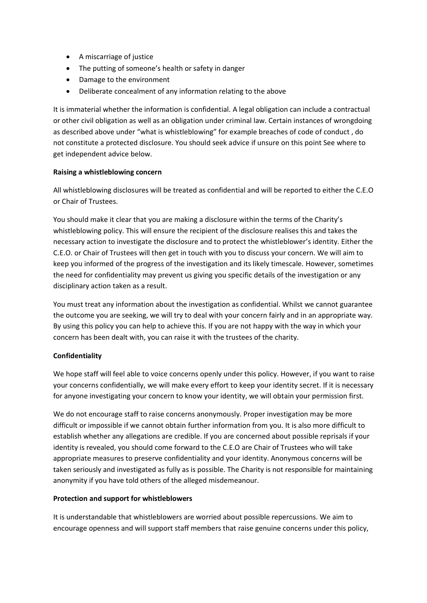- A miscarriage of justice
- The putting of someone's health or safety in danger
- Damage to the environment
- Deliberate concealment of any information relating to the above

It is immaterial whether the information is confidential. A legal obligation can include a contractual or other civil obligation as well as an obligation under criminal law. Certain instances of wrongdoing as described above under "what is whistleblowing" for example breaches of code of conduct , do not constitute a protected disclosure. You should seek advice if unsure on this point See where to get independent advice below.

### **Raising a whistleblowing concern**

All whistleblowing disclosures will be treated as confidential and will be reported to either the C.E.O or Chair of Trustees.

You should make it clear that you are making a disclosure within the terms of the Charity's whistleblowing policy. This will ensure the recipient of the disclosure realises this and takes the necessary action to investigate the disclosure and to protect the whistleblower's identity. Either the C.E.O. or Chair of Trustees will then get in touch with you to discuss your concern. We will aim to keep you informed of the progress of the investigation and its likely timescale. However, sometimes the need for confidentiality may prevent us giving you specific details of the investigation or any disciplinary action taken as a result.

You must treat any information about the investigation as confidential. Whilst we cannot guarantee the outcome you are seeking, we will try to deal with your concern fairly and in an appropriate way. By using this policy you can help to achieve this. If you are not happy with the way in which your concern has been dealt with, you can raise it with the trustees of the charity.

### **Confidentiality**

We hope staff will feel able to voice concerns openly under this policy. However, if you want to raise your concerns confidentially, we will make every effort to keep your identity secret. If it is necessary for anyone investigating your concern to know your identity, we will obtain your permission first.

We do not encourage staff to raise concerns anonymously. Proper investigation may be more difficult or impossible if we cannot obtain further information from you. It is also more difficult to establish whether any allegations are credible. If you are concerned about possible reprisals if your identity is revealed, you should come forward to the C.E.O are Chair of Trustees who will take appropriate measures to preserve confidentiality and your identity. Anonymous concerns will be taken seriously and investigated as fully as is possible. The Charity is not responsible for maintaining anonymity if you have told others of the alleged misdemeanour.

### **Protection and support for whistleblowers**

It is understandable that whistleblowers are worried about possible repercussions. We aim to encourage openness and will support staff members that raise genuine concerns under this policy,